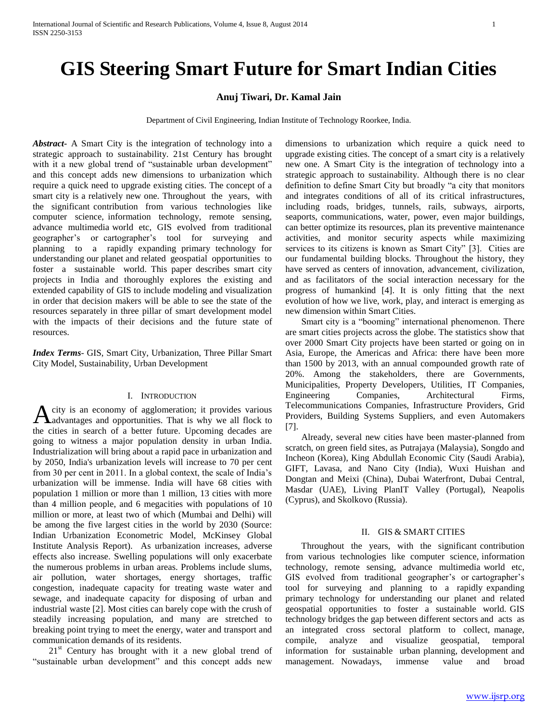## **GIS Steering Smart Future for Smart Indian Cities**

## **Anuj Tiwari, Dr. Kamal Jain**

Department of Civil Engineering, Indian Institute of Technology Roorkee, India.

*Abstract***-** A Smart City is the integration of technology into a strategic approach to sustainability. 21st Century has brought with it a new global trend of "sustainable urban development" and this concept adds new dimensions to urbanization which require a quick need to upgrade existing cities. The concept of a smart city is a relatively new one. Throughout the years, with the significant contribution from various technologies like computer science, information technology, remote sensing, advance multimedia world etc, GIS evolved from traditional geographer's or cartographer's tool for surveying and planning to a rapidly expanding primary technology for understanding our planet and related geospatial opportunities to foster a sustainable world. This paper describes smart city projects in India and thoroughly explores the existing and extended capability of GIS to include modeling and visualization in order that decision makers will be able to see the state of the resources separately in three pillar of smart development model with the impacts of their decisions and the future state of resources.

*Index Terms*- GIS, Smart City, Urbanization, Three Pillar Smart City Model, Sustainability, Urban Development

## I. INTRODUCTION

city is an economy of agglomeration; it provides various Acity is an economy of agglomeration; it provides various advantages and opportunities. That is why we all flock to the cities in search of a better future. Upcoming decades are going to witness a major population density in urban India. Industrialization will bring about a rapid pace in urbanization and by 2050, India's urbanization levels will increase to 70 per cent from 30 per cent in 2011. In a global context, the scale of India's urbanization will be immense. India will have 68 cities with population 1 million or more than 1 million, 13 cities with more than 4 million people, and 6 megacities with populations of 10 million or more, at least two of which (Mumbai and Delhi) will be among the five largest cities in the world by 2030 (Source: Indian Urbanization Econometric Model, McKinsey Global Institute Analysis Report). As urbanization increases, adverse effects also increase. Swelling populations will only exacerbate the numerous problems in urban areas. Problems include slums, air pollution, water shortages, energy shortages, traffic congestion, inadequate capacity for treating waste water and sewage, and inadequate capacity for disposing of urban and industrial waste [2]. Most cities can barely cope with the crush of steadily increasing population, and many are stretched to breaking point trying to meet the energy, water and transport and communication demands of its residents.

 $21<sup>st</sup>$  Century has brought with it a new global trend of "sustainable urban development" and this concept adds new

dimensions to urbanization which require a quick need to upgrade existing cities. The concept of a smart city is a relatively new one. A Smart City is the integration of technology into a strategic approach to sustainability. Although there is no clear definition to define Smart City but broadly "a city that monitors and integrates conditions of all of its critical infrastructures, including roads, bridges, tunnels, rails, subways, airports, seaports, communications, water, power, even major buildings, can better optimize its resources, plan its preventive maintenance activities, and monitor security aspects while maximizing services to its citizens is known as Smart City" [3]. Cities are our fundamental building blocks. Throughout the history, they have served as centers of innovation, advancement, civilization, and as facilitators of the social interaction necessary for the progress of humankind [4]. It is only fitting that the next evolution of how we live, work, play, and interact is emerging as new dimension within Smart Cities.

 Smart city is a "booming" international phenomenon. There are smart cities projects across the globe. The statistics show that over 2000 Smart City projects have been started or going on in Asia, Europe, the Americas and Africa: there have been more than 1500 by 2013, with an annual compounded growth rate of 20%. Among the stakeholders, there are Governments, Municipalities, Property Developers, Utilities, IT Companies, Engineering Companies, Architectural Firms, Telecommunications Companies, Infrastructure Providers, Grid Providers, Building Systems Suppliers, and even Automakers [7].

 Already, several new cities have been master-planned from scratch, on green field sites, as Putrajaya (Malaysia), Songdo and Incheon (Korea), King Abdullah Economic City (Saudi Arabia), GIFT, Lavasa, and Nano City (India), Wuxi Huishan and Dongtan and Meixi (China), Dubai Waterfront, Dubai Central, Masdar (UAE), Living PlanIT Valley (Portugal), Neapolis (Cyprus), and Skolkovo (Russia).

#### II. GIS & SMART CITIES

 Throughout the years, with the significant contribution from various technologies like computer science, information technology, remote sensing, advance multimedia world etc, GIS evolved from traditional geographer's or cartographer's tool for surveying and planning to a rapidly expanding primary technology for understanding our planet and related geospatial opportunities to foster a sustainable world. GIS technology bridges the gap between different sectors and acts as an integrated cross sectoral platform to collect, manage, compile, analyze and visualize geospatial, temporal information for sustainable urban planning, development and management. Nowadays, immense value and broad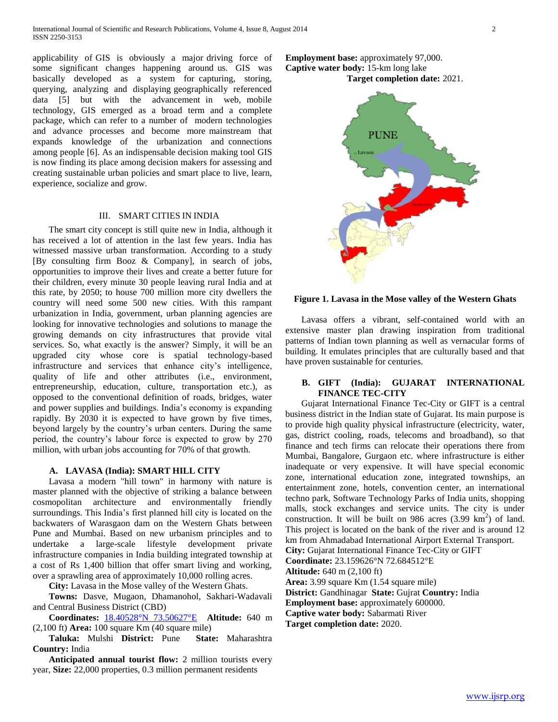applicability of GIS is obviously a major driving force of some significant changes happening around us. GIS was basically developed as a system for capturing, storing, querying, analyzing and displaying geographically referenced data [5] but with the advancement in web, mobile technology, GIS emerged as a broad term and a complete package, which can refer to a number of modern technologies and advance processes and become more mainstream that expands knowledge of the urbanization and connections among people [6]. As an indispensable decision making tool GIS is now finding its place among decision makers for assessing and creating sustainable urban policies and smart place to live, learn, experience, socialize and grow.

## III. SMART CITIES IN INDIA

 The smart city concept is still quite new in India, although it has received a lot of attention in the last few years. India has witnessed massive urban transformation. According to a study [By consulting firm Booz & Company], in search of jobs, opportunities to improve their lives and create a better future for their children, every minute 30 people leaving rural India and at this rate, by 2050; to house 700 million more city dwellers the country will need some 500 new cities. With this rampant urbanization in India, government, urban planning agencies are looking for innovative technologies and solutions to manage the growing demands on city infrastructures that provide vital services. So, what exactly is the answer? Simply, it will be an upgraded city whose core is spatial technology-based infrastructure and services that enhance city's intelligence, quality of life and other attributes (i.e., environment, entrepreneurship, education, culture, transportation etc.), as opposed to the conventional definition of roads, bridges, water and power supplies and buildings. India's economy is expanding rapidly. By 2030 it is expected to have grown by five times, beyond largely by the country's urban centers. During the same period, the country's labour force is expected to grow by 270 million, with urban jobs accounting for 70% of that growth.

#### **A. LAVASA (India): SMART HILL CITY**

 Lavasa a modern "hill town" in harmony with nature is master planned with the objective of striking a balance between cosmopolitan architecture and environmentally friendly surroundings. This India's first planned hill city is located on the backwaters of Warasgaon dam on the Western Ghats between Pune and Mumbai. Based on new urbanism principles and to undertake a large-scale lifestyle development private infrastructure companies in India building integrated township at a cost of Rs 1,400 billion that offer smart living and working, over a sprawling area of approximately 10,000 rolling acres.

**City:** Lavasa in the Mose valley of the Western Ghats.

 **Towns:** Dasve, Mugaon, Dhamanohol, Sakhari-Wadavali and Central Business District (CBD)

 **Coordinates:** [18.40528°N 73.50627°E](http://tools.wmflabs.org/geohack/geohack.php?pagename=Lavasa¶ms=18.40528_N_73.50627_E_type:city_region:IN-MH) **Altitude:** 640 m (2,100 ft) **Area:** 100 square Km (40 square mile)

 **Taluka:** Mulshi **District:** Pune **State:** Maharashtra **Country:** India

 **Anticipated annual tourist flow:** 2 million tourists every year, **Size:** 22,000 properties, 0.3 million permanent residents





#### **Figure 1. Lavasa in the Mose valley of the Western Ghats**

 Lavasa offers a vibrant, self-contained world with an extensive master plan drawing inspiration from traditional patterns of Indian town planning as well as vernacular forms of building. It emulates principles that are culturally based and that have proven sustainable for centuries.

### **B. GIFT (India): GUJARAT INTERNATIONAL FINANCE TEC-CITY**

 Gujarat International Finance Tec-City or GIFT is a central business district in the Indian state of Gujarat. Its main purpose is to provide high quality physical infrastructure (electricity, water, gas, district cooling, roads, telecoms and broadband), so that finance and tech firms can relocate their operations there from Mumbai, Bangalore, Gurgaon etc. where infrastructure is either inadequate or very expensive. It will have special economic zone, international education zone, integrated townships, an entertainment zone, hotels, convention center, an international techno park, Software Technology Parks of India units, shopping malls, stock exchanges and service units. The city is under construction. It will be built on 986 acres  $(3.99 \text{ km}^2)$  of land. This project is located on the bank of the river and is around 12 km from Ahmadabad International Airport External Transport. **City:** Gujarat International Finance Tec-City or GIFT **Coordinate:** 23.159626°N 72.684512°E **Altitude:** 640 m (2,100 ft)

**Area:** 3.99 square Km (1.54 square mile) **District:** Gandhinagar **State:** Gujrat **Country:** India

**Employment base:** approximately 600000.

**Captive water body:** Sabarmati River

**Target completion date:** 2020.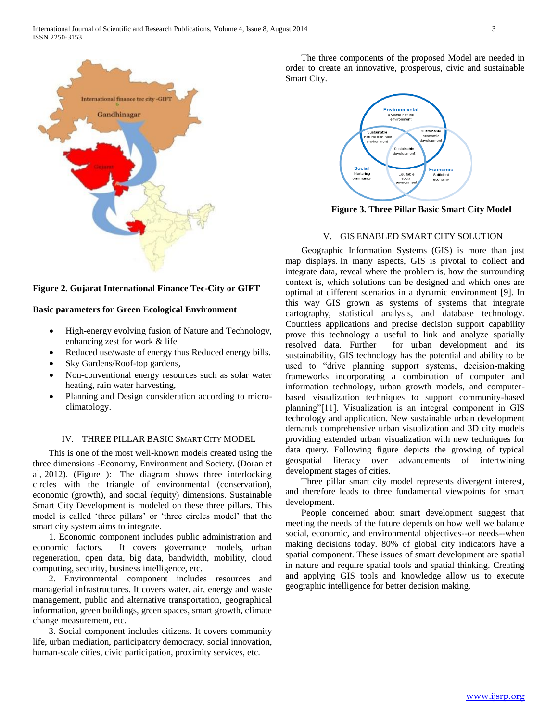

**Figure 2. Gujarat International Finance Tec-City or GIFT**

#### **Basic parameters for Green Ecological Environment**

- High-energy evolving fusion of Nature and Technology, enhancing zest for work & life
- Reduced use/waste of energy thus Reduced energy bills.
- Sky Gardens/Roof-top gardens,
- Non-conventional energy resources such as solar water heating, rain water harvesting,
- Planning and Design consideration according to microclimatology.

#### IV. THREE PILLAR BASIC SMART CITY MODEL

 This is one of the most well-known models created using the three dimensions -Economy, Environment and Society. (Doran et al, 2012). (Figure ): The diagram shows three interlocking circles with the triangle of environmental (conservation), economic (growth), and social (equity) dimensions. Sustainable Smart City Development is modeled on these three pillars. This model is called 'three pillars' or 'three circles model' that the smart city system aims to integrate.

 1. Economic component includes public administration and economic factors. It covers governance models, urban regeneration, open data, big data, bandwidth, mobility, cloud computing, security, business intelligence, etc.

 2. Environmental component includes resources and managerial infrastructures. It covers water, air, energy and waste management, public and alternative transportation, geographical information, green buildings, green spaces, smart growth, climate change measurement, etc.

 3. Social component includes citizens. It covers community life, urban mediation, participatory democracy, social innovation, human-scale cities, civic participation, proximity services, etc.

 The three components of the proposed Model are needed in order to create an innovative, prosperous, civic and sustainable Smart City.



**Figure 3. Three Pillar Basic Smart City Model**

## V. GIS ENABLED SMART CITY SOLUTION

 Geographic Information Systems (GIS) is more than just map displays. In many aspects, GIS is pivotal to collect and integrate data, reveal where the problem is, how the surrounding context is, which solutions can be designed and which ones are optimal at different scenarios in a dynamic environment [9]. In this way GIS grown as systems of systems that integrate cartography, statistical analysis, and database technology. Countless applications and precise decision support capability prove this technology a useful to link and analyze spatially resolved data. Further for urban development and its sustainability, GIS technology has the potential and ability to be used to "drive planning support systems, decision-making frameworks incorporating a combination of computer and information technology, urban growth models, and computerbased visualization techniques to support community-based planning"[11]. Visualization is an integral component in GIS technology and application. New sustainable urban development demands comprehensive urban visualization and 3D city models providing extended urban visualization with new techniques for data query. Following figure depicts the growing of typical geospatial literacy over advancements of intertwining development stages of cities.

 Three pillar smart city model represents divergent interest, and therefore leads to three fundamental viewpoints for smart development.

 People concerned about smart development suggest that meeting the needs of the future depends on how well we balance social, economic, and environmental objectives--or needs--when making decisions today. 80% of global city indicators have a spatial component. These issues of smart development are spatial in nature and require spatial tools and spatial thinking. Creating and applying GIS tools and knowledge allow us to execute geographic intelligence for better decision making.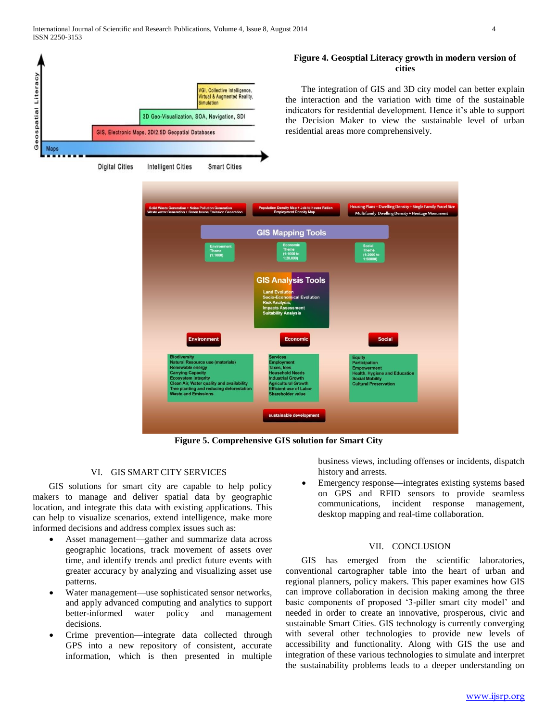Geospatial Literacy

**Maps** 



**Figure 5. Comprehensive GIS solution for Smart City**

## VI. GIS SMART CITY SERVICES

 GIS solutions for smart city are capable to help policy makers to manage and deliver spatial data by geographic location, and integrate this data with existing applications. This can help to visualize scenarios, extend intelligence, make more informed decisions and address complex issues such as:

- Asset management—gather and summarize data across geographic locations, track movement of assets over time, and identify trends and predict future events with greater accuracy by analyzing and visualizing asset use patterns.
- Water management—use sophisticated sensor networks, and apply advanced computing and analytics to support better-informed water policy and management decisions.
- Crime prevention—integrate data collected through GPS into a new repository of consistent, accurate information, which is then presented in multiple

# **Figure 4. Geosptial Literacy growth in modern version of**

 The integration of GIS and 3D city model can better explain the interaction and the variation with time of the sustainable indicators for residential development. Hence it's able to support the Decision Maker to view the sustainable level of urban residential areas more comprehensively.

> business views, including offenses or incidents, dispatch history and arrests.

 Emergency response—integrates existing systems based on GPS and RFID sensors to provide seamless communications, incident response management, desktop mapping and real-time collaboration.

#### VII. CONCLUSION

 GIS has emerged from the scientific laboratories, conventional cartographer table into the heart of urban and regional planners, policy makers. This paper examines how GIS can improve collaboration in decision making among the three basic components of proposed '3-piller smart city model' and needed in order to create an innovative, prosperous, civic and sustainable Smart Cities. GIS technology is currently converging with several other technologies to provide new levels of accessibility and functionality. Along with GIS the use and integration of these various technologies to simulate and interpret the sustainability problems leads to a deeper understanding on